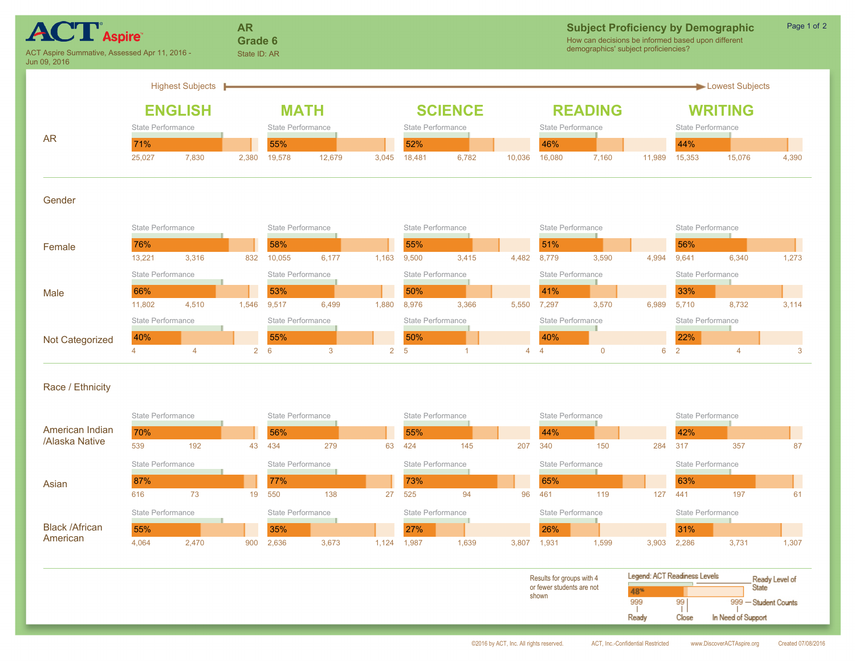